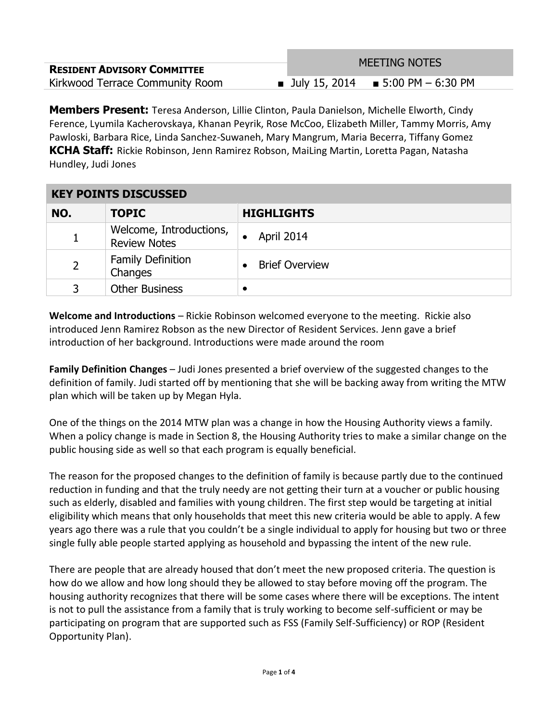|                                    | <b>MEETING NOTES</b>                 |
|------------------------------------|--------------------------------------|
| <b>RESIDENT ADVISORY COMMITTEE</b> |                                      |
| Kirkwood Terrace Community Room    | ■ July 15, 2014 ■ 5:00 PM $-6:30$ PM |

**Members Present:** Teresa Anderson, Lillie Clinton, Paula Danielson, Michelle Elworth, Cindy Ference, Lyumila Kacherovskaya, Khanan Peyrik, Rose McCoo, Elizabeth Miller, Tammy Morris, Amy Pawloski, Barbara Rice, Linda Sanchez-Suwaneh, Mary Mangrum, Maria Becerra, Tiffany Gomez **KCHA Staff:** Rickie Robinson, Jenn Ramirez Robson, MaiLing Martin, Loretta Pagan, Natasha Hundley, Judi Jones

## **KEY POINTS DISCUSSED**

| NO. | <b>TOPIC</b>                                   | <b>HIGHLIGHTS</b>     |
|-----|------------------------------------------------|-----------------------|
|     | Welcome, Introductions,<br><b>Review Notes</b> | April 2014            |
|     | <b>Family Definition</b><br>Changes            | <b>Brief Overview</b> |
| 3   | <b>Other Business</b>                          |                       |

**Welcome and Introductions** – Rickie Robinson welcomed everyone to the meeting. Rickie also introduced Jenn Ramirez Robson as the new Director of Resident Services. Jenn gave a brief introduction of her background. Introductions were made around the room

**Family Definition Changes** – Judi Jones presented a brief overview of the suggested changes to the definition of family. Judi started off by mentioning that she will be backing away from writing the MTW plan which will be taken up by Megan Hyla.

One of the things on the 2014 MTW plan was a change in how the Housing Authority views a family. When a policy change is made in Section 8, the Housing Authority tries to make a similar change on the public housing side as well so that each program is equally beneficial.

The reason for the proposed changes to the definition of family is because partly due to the continued reduction in funding and that the truly needy are not getting their turn at a voucher or public housing such as elderly, disabled and families with young children. The first step would be targeting at initial eligibility which means that only households that meet this new criteria would be able to apply. A few years ago there was a rule that you couldn't be a single individual to apply for housing but two or three single fully able people started applying as household and bypassing the intent of the new rule.

There are people that are already housed that don't meet the new proposed criteria. The question is how do we allow and how long should they be allowed to stay before moving off the program. The housing authority recognizes that there will be some cases where there will be exceptions. The intent is not to pull the assistance from a family that is truly working to become self-sufficient or may be participating on program that are supported such as FSS (Family Self-Sufficiency) or ROP (Resident Opportunity Plan).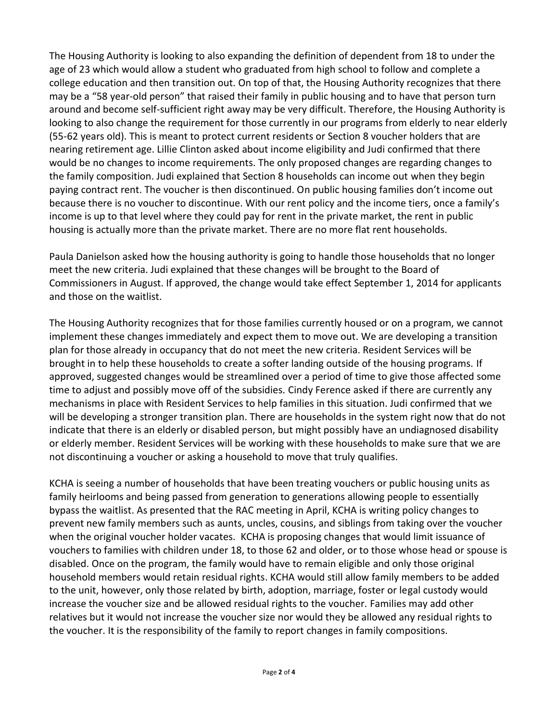The Housing Authority is looking to also expanding the definition of dependent from 18 to under the age of 23 which would allow a student who graduated from high school to follow and complete a college education and then transition out. On top of that, the Housing Authority recognizes that there may be a "58 year-old person" that raised their family in public housing and to have that person turn around and become self-sufficient right away may be very difficult. Therefore, the Housing Authority is looking to also change the requirement for those currently in our programs from elderly to near elderly (55-62 years old). This is meant to protect current residents or Section 8 voucher holders that are nearing retirement age. Lillie Clinton asked about income eligibility and Judi confirmed that there would be no changes to income requirements. The only proposed changes are regarding changes to the family composition. Judi explained that Section 8 households can income out when they begin paying contract rent. The voucher is then discontinued. On public housing families don't income out because there is no voucher to discontinue. With our rent policy and the income tiers, once a family's income is up to that level where they could pay for rent in the private market, the rent in public housing is actually more than the private market. There are no more flat rent households.

Paula Danielson asked how the housing authority is going to handle those households that no longer meet the new criteria. Judi explained that these changes will be brought to the Board of Commissioners in August. If approved, the change would take effect September 1, 2014 for applicants and those on the waitlist.

The Housing Authority recognizes that for those families currently housed or on a program, we cannot implement these changes immediately and expect them to move out. We are developing a transition plan for those already in occupancy that do not meet the new criteria. Resident Services will be brought in to help these households to create a softer landing outside of the housing programs. If approved, suggested changes would be streamlined over a period of time to give those affected some time to adjust and possibly move off of the subsidies. Cindy Ference asked if there are currently any mechanisms in place with Resident Services to help families in this situation. Judi confirmed that we will be developing a stronger transition plan. There are households in the system right now that do not indicate that there is an elderly or disabled person, but might possibly have an undiagnosed disability or elderly member. Resident Services will be working with these households to make sure that we are not discontinuing a voucher or asking a household to move that truly qualifies.

KCHA is seeing a number of households that have been treating vouchers or public housing units as family heirlooms and being passed from generation to generations allowing people to essentially bypass the waitlist. As presented that the RAC meeting in April, KCHA is writing policy changes to prevent new family members such as aunts, uncles, cousins, and siblings from taking over the voucher when the original voucher holder vacates. KCHA is proposing changes that would limit issuance of vouchers to families with children under 18, to those 62 and older, or to those whose head or spouse is disabled. Once on the program, the family would have to remain eligible and only those original household members would retain residual rights. KCHA would still allow family members to be added to the unit, however, only those related by birth, adoption, marriage, foster or legal custody would increase the voucher size and be allowed residual rights to the voucher. Families may add other relatives but it would not increase the voucher size nor would they be allowed any residual rights to the voucher. It is the responsibility of the family to report changes in family compositions.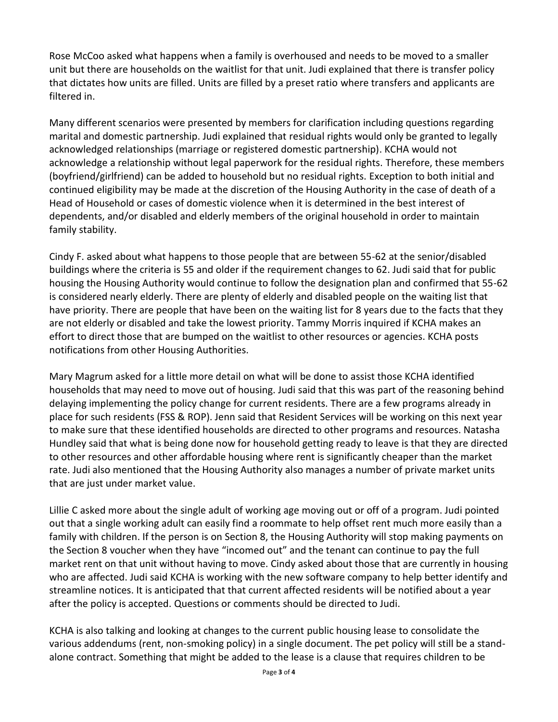Rose McCoo asked what happens when a family is overhoused and needs to be moved to a smaller unit but there are households on the waitlist for that unit. Judi explained that there is transfer policy that dictates how units are filled. Units are filled by a preset ratio where transfers and applicants are filtered in.

Many different scenarios were presented by members for clarification including questions regarding marital and domestic partnership. Judi explained that residual rights would only be granted to legally acknowledged relationships (marriage or registered domestic partnership). KCHA would not acknowledge a relationship without legal paperwork for the residual rights. Therefore, these members (boyfriend/girlfriend) can be added to household but no residual rights. Exception to both initial and continued eligibility may be made at the discretion of the Housing Authority in the case of death of a Head of Household or cases of domestic violence when it is determined in the best interest of dependents, and/or disabled and elderly members of the original household in order to maintain family stability.

Cindy F. asked about what happens to those people that are between 55-62 at the senior/disabled buildings where the criteria is 55 and older if the requirement changes to 62. Judi said that for public housing the Housing Authority would continue to follow the designation plan and confirmed that 55-62 is considered nearly elderly. There are plenty of elderly and disabled people on the waiting list that have priority. There are people that have been on the waiting list for 8 years due to the facts that they are not elderly or disabled and take the lowest priority. Tammy Morris inquired if KCHA makes an effort to direct those that are bumped on the waitlist to other resources or agencies. KCHA posts notifications from other Housing Authorities.

Mary Magrum asked for a little more detail on what will be done to assist those KCHA identified households that may need to move out of housing. Judi said that this was part of the reasoning behind delaying implementing the policy change for current residents. There are a few programs already in place for such residents (FSS & ROP). Jenn said that Resident Services will be working on this next year to make sure that these identified households are directed to other programs and resources. Natasha Hundley said that what is being done now for household getting ready to leave is that they are directed to other resources and other affordable housing where rent is significantly cheaper than the market rate. Judi also mentioned that the Housing Authority also manages a number of private market units that are just under market value.

Lillie C asked more about the single adult of working age moving out or off of a program. Judi pointed out that a single working adult can easily find a roommate to help offset rent much more easily than a family with children. If the person is on Section 8, the Housing Authority will stop making payments on the Section 8 voucher when they have "incomed out" and the tenant can continue to pay the full market rent on that unit without having to move. Cindy asked about those that are currently in housing who are affected. Judi said KCHA is working with the new software company to help better identify and streamline notices. It is anticipated that that current affected residents will be notified about a year after the policy is accepted. Questions or comments should be directed to Judi.

KCHA is also talking and looking at changes to the current public housing lease to consolidate the various addendums (rent, non-smoking policy) in a single document. The pet policy will still be a standalone contract. Something that might be added to the lease is a clause that requires children to be